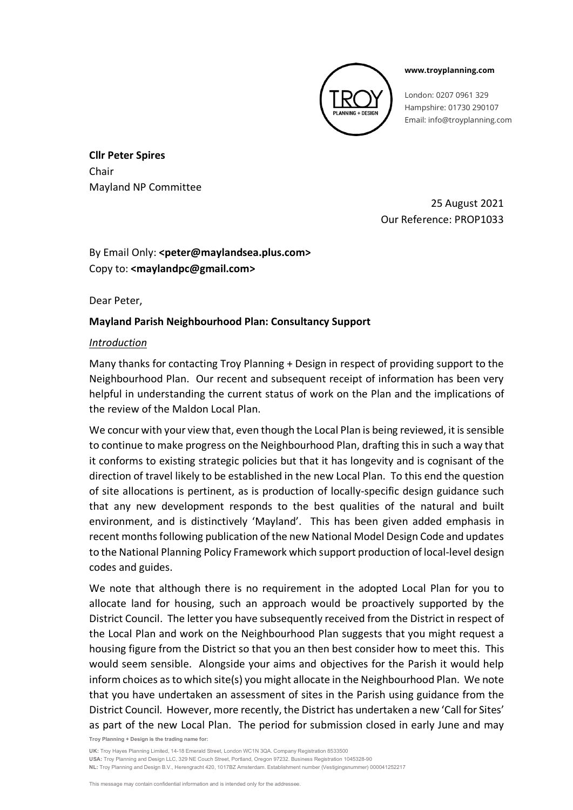

#### **www.troyplanning.com**

London: 0207 0961 329 Hampshire: 01730 290107 Email: info@troyplanning.com

**Cllr Peter Spires** Chair Mayland NP Committee

> 25 August 2021 Our Reference: PROP1033

By Email Only: **<peter@maylandsea.plus.com>** Copy to: **<maylandpc@gmail.com>**

Dear Peter,

# **Mayland Parish Neighbourhood Plan: Consultancy Support**

# *Introduction*

Many thanks for contacting Troy Planning + Design in respect of providing support to the Neighbourhood Plan. Our recent and subsequent receipt of information has been very helpful in understanding the current status of work on the Plan and the implications of the review of the Maldon Local Plan.

We concur with your view that, even though the Local Plan is being reviewed, it is sensible to continue to make progress on the Neighbourhood Plan, drafting this in such a way that it conforms to existing strategic policies but that it has longevity and is cognisant of the direction of travel likely to be established in the new Local Plan. To this end the question of site allocations is pertinent, as is production of locally-specific design guidance such that any new development responds to the best qualities of the natural and built environment, and is distinctively 'Mayland'. This has been given added emphasis in recent months following publication of the new National Model Design Code and updates to the National Planning Policy Framework which support production of local-level design codes and guides.

We note that although there is no requirement in the adopted Local Plan for you to allocate land for housing, such an approach would be proactively supported by the District Council. The letter you have subsequently received from the District in respect of the Local Plan and work on the Neighbourhood Plan suggests that you might request a housing figure from the District so that you an then best consider how to meet this. This would seem sensible. Alongside your aims and objectives for the Parish it would help inform choices as to which site(s) you might allocate in the Neighbourhood Plan. We note that you have undertaken an assessment of sites in the Parish using guidance from the District Council. However, more recently, the District has undertaken a new 'Call for Sites' as part of the new Local Plan. The period for submission closed in early June and may

**Troy Planning + Design is the trading name for:**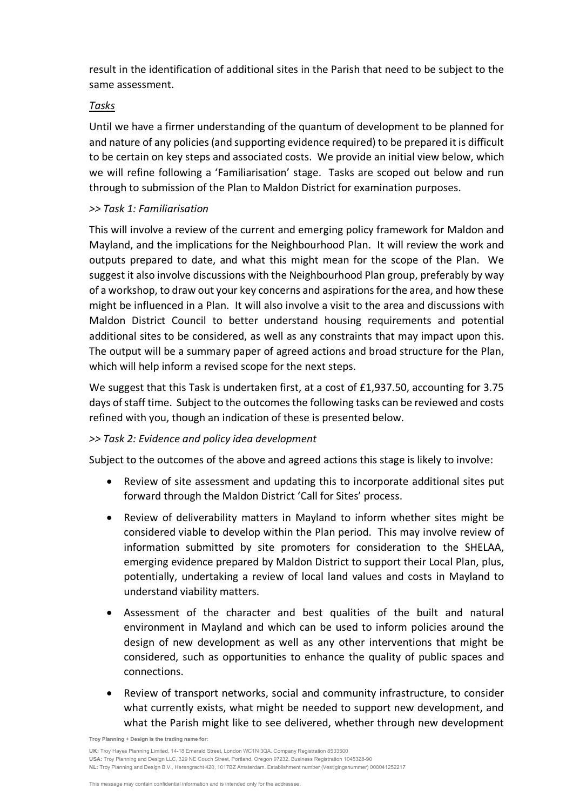result in the identification of additional sites in the Parish that need to be subject to the same assessment.

## *Tasks*

Until we have a firmer understanding of the quantum of development to be planned for and nature of any policies (and supporting evidence required) to be prepared it is difficult to be certain on key steps and associated costs. We provide an initial view below, which we will refine following a 'Familiarisation' stage. Tasks are scoped out below and run through to submission of the Plan to Maldon District for examination purposes.

## *>> Task 1: Familiarisation*

This will involve a review of the current and emerging policy framework for Maldon and Mayland, and the implications for the Neighbourhood Plan. It will review the work and outputs prepared to date, and what this might mean for the scope of the Plan. We suggest it also involve discussions with the Neighbourhood Plan group, preferably by way of a workshop, to draw out your key concerns and aspirations for the area, and how these might be influenced in a Plan. It will also involve a visit to the area and discussions with Maldon District Council to better understand housing requirements and potential additional sites to be considered, as well as any constraints that may impact upon this. The output will be a summary paper of agreed actions and broad structure for the Plan, which will help inform a revised scope for the next steps.

We suggest that this Task is undertaken first, at a cost of £1,937.50, accounting for 3.75 days of staff time. Subject to the outcomes the following tasks can be reviewed and costs refined with you, though an indication of these is presented below.

# *>> Task 2: Evidence and policy idea development*

Subject to the outcomes of the above and agreed actions this stage is likely to involve:

- Review of site assessment and updating this to incorporate additional sites put forward through the Maldon District 'Call for Sites' process.
- Review of deliverability matters in Mayland to inform whether sites might be considered viable to develop within the Plan period. This may involve review of information submitted by site promoters for consideration to the SHELAA, emerging evidence prepared by Maldon District to support their Local Plan, plus, potentially, undertaking a review of local land values and costs in Mayland to understand viability matters.
- Assessment of the character and best qualities of the built and natural environment in Mayland and which can be used to inform policies around the design of new development as well as any other interventions that might be considered, such as opportunities to enhance the quality of public spaces and connections.
- Review of transport networks, social and community infrastructure, to consider what currently exists, what might be needed to support new development, and what the Parish might like to see delivered, whether through new development

**Troy Planning + Design is the trading name for:**

**USA:** Troy Planning and Design LLC, 329 NE Couch Street, Portland, Oregon 97232. Business Registration 1045328-90

**NL:** Troy Planning and Design B.V., Herengracht 420, 1017BZ Amsterdam. Establishment number (Vestigingsnummer) 000041252217

**UK:** Troy Hayes Planning Limited, 14-18 Emerald Street, London WC1N 3QA. Company Registration 8533500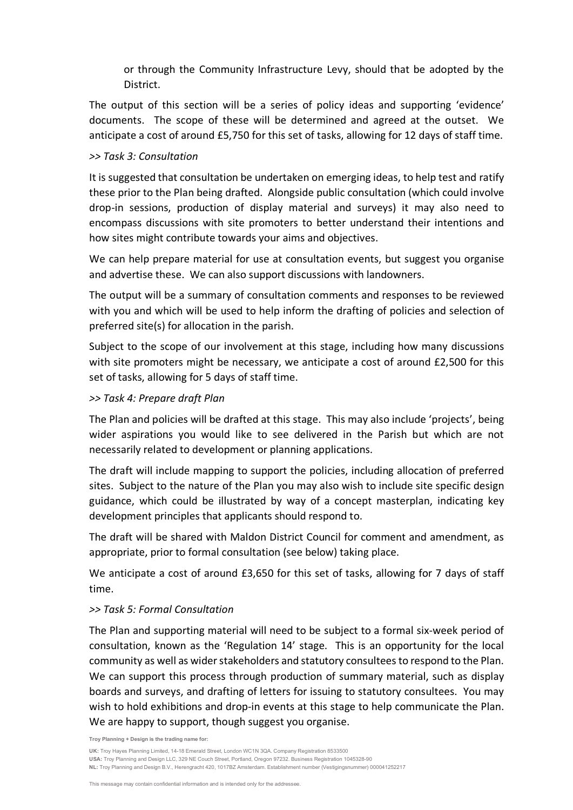or through the Community Infrastructure Levy, should that be adopted by the District.

The output of this section will be a series of policy ideas and supporting 'evidence' documents. The scope of these will be determined and agreed at the outset. We anticipate a cost of around £5,750 for this set of tasks, allowing for 12 days of staff time.

#### *>> Task 3: Consultation*

It is suggested that consultation be undertaken on emerging ideas, to help test and ratify these prior to the Plan being drafted. Alongside public consultation (which could involve drop-in sessions, production of display material and surveys) it may also need to encompass discussions with site promoters to better understand their intentions and how sites might contribute towards your aims and objectives.

We can help prepare material for use at consultation events, but suggest you organise and advertise these. We can also support discussions with landowners.

The output will be a summary of consultation comments and responses to be reviewed with you and which will be used to help inform the drafting of policies and selection of preferred site(s) for allocation in the parish.

Subject to the scope of our involvement at this stage, including how many discussions with site promoters might be necessary, we anticipate a cost of around £2,500 for this set of tasks, allowing for 5 days of staff time.

## *>> Task 4: Prepare draft Plan*

The Plan and policies will be drafted at this stage. This may also include 'projects', being wider aspirations you would like to see delivered in the Parish but which are not necessarily related to development or planning applications.

The draft will include mapping to support the policies, including allocation of preferred sites. Subject to the nature of the Plan you may also wish to include site specific design guidance, which could be illustrated by way of a concept masterplan, indicating key development principles that applicants should respond to.

The draft will be shared with Maldon District Council for comment and amendment, as appropriate, prior to formal consultation (see below) taking place.

We anticipate a cost of around £3,650 for this set of tasks, allowing for 7 days of staff time.

# *>> Task 5: Formal Consultation*

The Plan and supporting material will need to be subject to a formal six-week period of consultation, known as the 'Regulation 14' stage. This is an opportunity for the local community as well as wider stakeholders and statutory consultees to respond to the Plan. We can support this process through production of summary material, such as display boards and surveys, and drafting of letters for issuing to statutory consultees. You may wish to hold exhibitions and drop-in events at this stage to help communicate the Plan. We are happy to support, though suggest you organise.

**Troy Planning + Design is the trading name for:**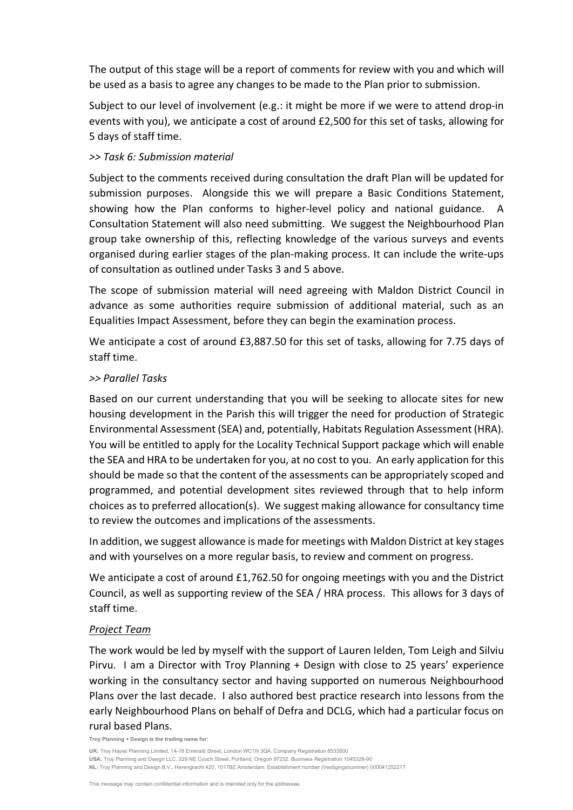The output of this stage will be a report of comments for review with you and which will be used as a basis to agree any changes to be made to the Plan prior to submission.

Subject to our level of involvement (e.g.: it might be more if we were to attend drop-in events with you), we anticipate a cost of around £2,500 for this set of tasks, allowing for 5 days of staff time.

### *>> Task 6: Submission material*

Subject to the comments received during consultation the draft Plan will be updated for submission purposes. Alongside this we will prepare a Basic Conditions Statement, showing how the Plan conforms to higher-level policy and national guidance. A Consultation Statement will also need submitting. We suggest the Neighbourhood Plan group take ownership of this, reflecting knowledge of the various surveys and events organised during earlier stages of the plan-making process. It can include the write-ups of consultation as outlined under Tasks 3 and 5 above.

The scope of submission material will need agreeing with Maldon District Council in advance as some authorities require submission of additional material, such as an Equalities Impact Assessment, before they can begin the examination process.

We anticipate a cost of around £3,887.50 for this set of tasks, allowing for 7.75 days of staff time.

#### *>> Parallel Tasks*

Based on our current understanding that you will be seeking to allocate sites for new housing development in the Parish this will trigger the need for production of Strategic Environmental Assessment (SEA) and, potentially, Habitats Regulation Assessment (HRA). You will be entitled to apply for the Locality Technical Support package which will enable the SEA and HRA to be undertaken for you, at no cost to you. An early application for this should be made so that the content of the assessments can be appropriately scoped and programmed, and potential development sites reviewed through that to help inform choices as to preferred allocation(s). We suggest making allowance for consultancy time to review the outcomes and implications of the assessments.

In addition, we suggest allowance is made for meetings with Maldon District at key stages and with yourselves on a more regular basis, to review and comment on progress.

We anticipate a cost of around £1,762.50 for ongoing meetings with you and the District Council, as well as supporting review of the SEA / HRA process. This allows for 3 days of staff time.

# *Project Team*

The work would be led by myself with the support of Lauren Ielden, Tom Leigh and Silviu Pirvu. I am a Director with Troy Planning + Design with close to 25 years' experience working in the consultancy sector and having supported on numerous Neighbourhood Plans over the last decade. I also authored best practice research into lessons from the early Neighbourhood Plans on behalf of Defra and DCLG, which had a particular focus on rural based Plans.

**Troy Planning + Design is the trading name for:**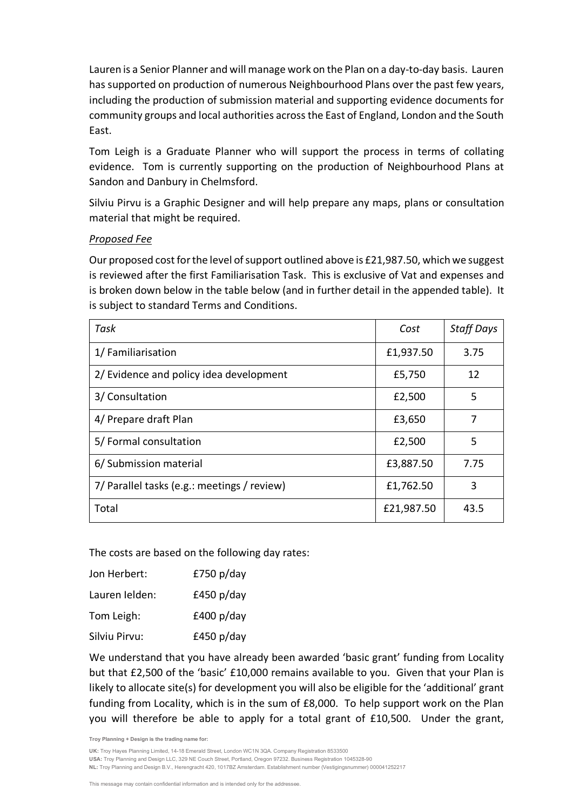Lauren is a Senior Planner and will manage work on the Plan on a day-to-day basis. Lauren has supported on production of numerous Neighbourhood Plans over the past few years, including the production of submission material and supporting evidence documents for community groups and local authorities across the East of England, London and the South East.

Tom Leigh is a Graduate Planner who will support the process in terms of collating evidence. Tom is currently supporting on the production of Neighbourhood Plans at Sandon and Danbury in Chelmsford.

Silviu Pirvu is a Graphic Designer and will help prepare any maps, plans or consultation material that might be required.

## *Proposed Fee*

Our proposed cost for the level of support outlined above is £21,987.50, which we suggest is reviewed after the first Familiarisation Task. This is exclusive of Vat and expenses and is broken down below in the table below (and in further detail in the appended table). It is subject to standard Terms and Conditions.

| Task                                        | Cost       | <b>Staff Days</b> |  |
|---------------------------------------------|------------|-------------------|--|
| 1/ Familiarisation                          | £1,937.50  | 3.75              |  |
| 2/ Evidence and policy idea development     | £5,750     | 12                |  |
| 3/ Consultation                             | £2,500     | 5                 |  |
| 4/ Prepare draft Plan                       | £3,650     | 7                 |  |
| 5/ Formal consultation                      | £2,500     | 5                 |  |
| 6/ Submission material                      | £3,887.50  | 7.75              |  |
| 7/ Parallel tasks (e.g.: meetings / review) | £1,762.50  | 3                 |  |
| Total                                       | £21,987.50 | 43.5              |  |

The costs are based on the following day rates:

| Jon Herbert:   | £750 $p$ /day |
|----------------|---------------|
| Lauren Ielden: | £450 $p$ /day |
| Tom Leigh:     | £400 $p$ /day |
| Silviu Pirvu:  | £450 $p$ /day |

We understand that you have already been awarded 'basic grant' funding from Locality but that £2,500 of the 'basic' £10,000 remains available to you. Given that your Plan is likely to allocate site(s) for development you will also be eligible for the 'additional' grant funding from Locality, which is in the sum of £8,000. To help support work on the Plan you will therefore be able to apply for a total grant of £10,500. Under the grant,

**Troy Planning + Design is the trading name for:**

**UK:** Troy Hayes Planning Limited, 14-18 Emerald Street, London WC1N 3QA. Company Registration 8533500

**USA:** Troy Planning and Design LLC, 329 NE Couch Street, Portland, Oregon 97232. Business Registration 1045328-90

**NL:** Troy Planning and Design B.V., Herengracht 420, 1017BZ Amsterdam. Establishment number (Vestigingsnummer) 000041252217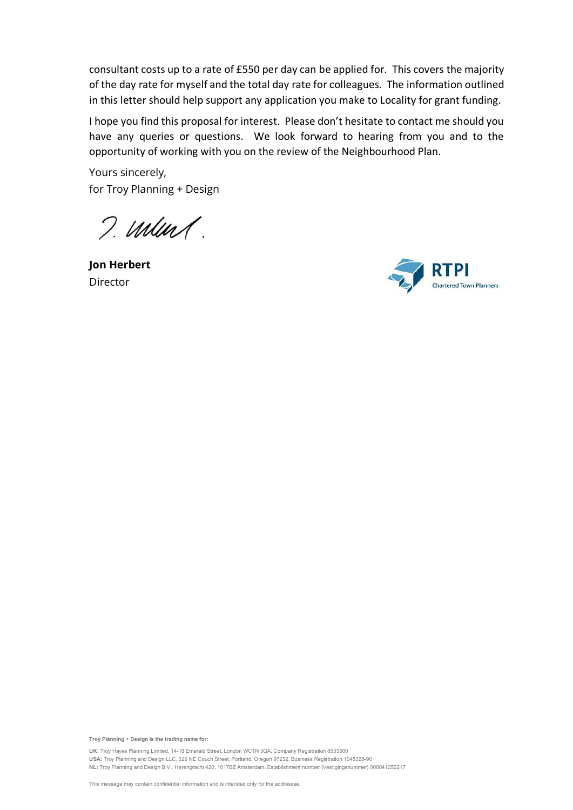consultant costs up to a rate of £550 per day can be applied for. This covers the majority of the day rate for myself and the total day rate for colleagues. The information outlined in this letter should help support any application you make to Locality for grant funding.

I hope you find this proposal for interest. Please don't hesitate to contact me should you have any queries or questions. We look forward to hearing from you and to the opportunity of working with you on the review of the Neighbourhood Plan.

Yours sincerely, for Troy Planning + Design

I. munt.

**Jon Herbert** Director



**Troy Planning + Design is the trading name for:**